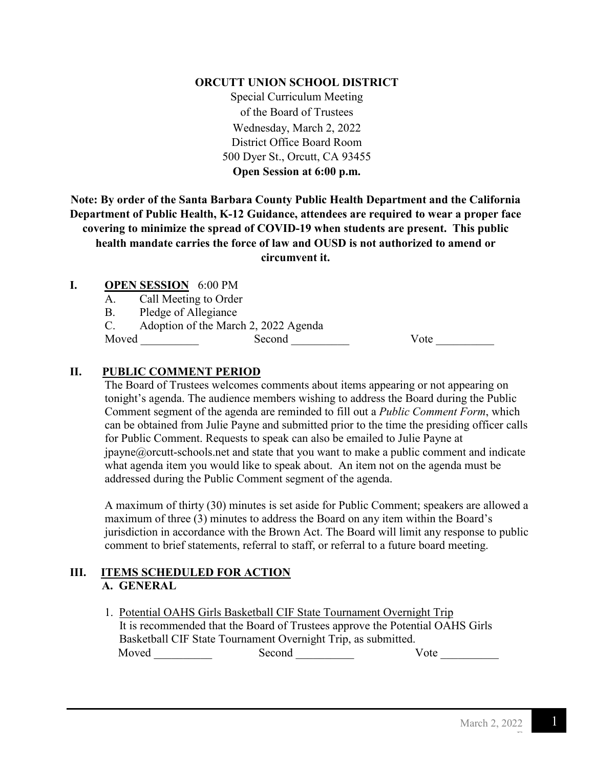#### **ORCUTT UNION SCHOOL DISTRICT**

Special Curriculum Meeting of the Board of Trustees Wednesday, March 2, 2022 District Office Board Room 500 Dyer St., Orcutt, CA 93455 **Open Session at 6:00 p.m.**

**Note: By order of the Santa Barbara County Public Health Department and the California Department of Public Health, K-12 Guidance, attendees are required to wear a proper face covering to minimize the spread of COVID-19 when students are present. This public health mandate carries the force of law and OUSD is not authorized to amend or circumvent it.**

#### **I. OPEN SESSION** 6:00 PM

A. Call Meeting to Order

B. Pledge of Allegiance

C. Adoption of the March 2, 2022 Agenda

Moved \_\_\_\_\_\_\_\_\_\_ Second \_\_\_\_\_\_\_\_\_\_ Vote \_\_\_\_\_\_\_\_\_\_

### **II. PUBLIC COMMENT PERIOD**

The Board of Trustees welcomes comments about items appearing or not appearing on tonight's agenda. The audience members wishing to address the Board during the Public Comment segment of the agenda are reminded to fill out a *Public Comment Form*, which can be obtained from Julie Payne and submitted prior to the time the presiding officer calls for Public Comment. Requests to speak can also be emailed to Julie Payne at  $ipavne@orcut-schools.net$  and state that you want to make a public comment and indicate what agenda item you would like to speak about. An item not on the agenda must be addressed during the Public Comment segment of the agenda.

A maximum of thirty (30) minutes is set aside for Public Comment; speakers are allowed a maximum of three (3) minutes to address the Board on any item within the Board's jurisdiction in accordance with the Brown Act. The Board will limit any response to public comment to brief statements, referral to staff, or referral to a future board meeting.

### **III. ITEMS SCHEDULED FOR ACTION A. GENERAL**

1. Potential OAHS Girls Basketball CIF State Tournament Overnight Trip It is recommended that the Board of Trustees approve the Potential OAHS Girls Basketball CIF State Tournament Overnight Trip, as submitted. Moved Second Second Vote 2008

F